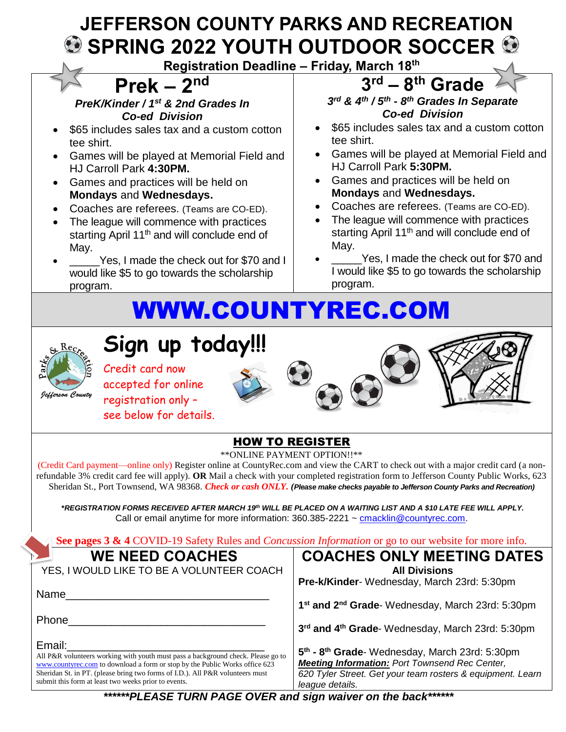# **JEFFERSON COUNTY PARKS AND RECREATION SPRING 2022 YOUTH OUTDOOR SOCCER**

**Registration Deadline – Friday, March 18 th**

# **Prek – 2nd**

*PreK/Kinder / 1st & 2nd Grades In Co-ed Division*

- \$65 includes sales tax and a custom cotton tee shirt.
- Games will be played at Memorial Field and HJ Carroll Park **4:30PM.**
- Games and practices will be held on **Mondays** and **Wednesdays.**
- Coaches are referees. (Teams are CO-ED).
- The league will commence with practices starting April 11<sup>th</sup> and will conclude end of May.
- Yes, I made the check out for \$70 and I would like \$5 to go towards the scholarship program.

#### **3 rd – 8 th Grade** *3 rd & 4th / 5 th - 8 th Grades In Separate Co-ed Division*

- \$65 includes sales tax and a custom cotton tee shirt.
- Games will be played at Memorial Field and HJ Carroll Park **5:30PM.**
- Games and practices will be held on **Mondays** and **Wednesdays.**
- Coaches are referees. (Teams are CO-ED).
- The league will commence with practices starting April 11<sup>th</sup> and will conclude end of May.
- Yes, I made the check out for \$70 and I would like \$5 to go towards the scholarship program.

# [WWW.COUNTYREC.COM](http://www.countyrec.com/)



# **Sign up today!!!**

Credit card now accepted for online registration only – see below for details.







### HOW TO REGISTER

\*\*ONLINE PAYMENT OPTION!!\*\*

(Credit Card payment—online only) Register online at CountyRec.com and view the CART to check out with a major credit card (a nonrefundable 3% credit card fee will apply). **OR** Mail a check with your completed registration form to Jefferson County Public Works, 623 Sheridan St., Port Townsend, WA 98368. *Check or cash ONLY. (Please make checks payable to Jefferson County Parks and Recreation)*

**\****REGISTRATION FORMS RECEIVED AFTER MARCH 19th WILL BE PLACED ON A WAITING LIST AND A \$10 LATE FEE WILL APPLY.* Call or email anytime for more information: 360.385-2221 ~ [cmacklin@countyrec.com.](mailto:cmacklin@countyrec.com)

**See pages 3 & 4** COVID-19 Safety Rules and *Concussion Information* or go to our website for more info.

## **WE NEED COACHES**

YES, I WOULD LIKE TO BE A VOLUNTEER COACH

Name

Phone

Email:

All P&R volunteers working with youth must pass a background check. Please go to [www.countyrec.com](http://www.countyrec.com/) to download a form or stop by the Public Works office 623 Sheridan St. in PT. (please bring two forms of I.D.). All P&R volunteers must submit this form at least two weeks prior to events.

### **COACHES ONLY MEETING DATES All Divisions**

**Pre-k/Kinder**- Wednesday, March 23rd: 5:30pm

**1 st and 2nd Grade**- Wednesday, March 23rd: 5:30pm

**3 rd and 4th Grade**- Wednesday, March 23rd: 5:30pm

**5 th - 8 th Grade**- Wednesday, March 23rd: 5:30pm *Meeting Information: Port Townsend Rec Center, 620 Tyler Street. Get your team rosters & equipment. Learn league details.* 

*\*\*\*\*\*\*PLEASE TURN PAGE OVER and sign waiver on the back\*\*\*\*\*\**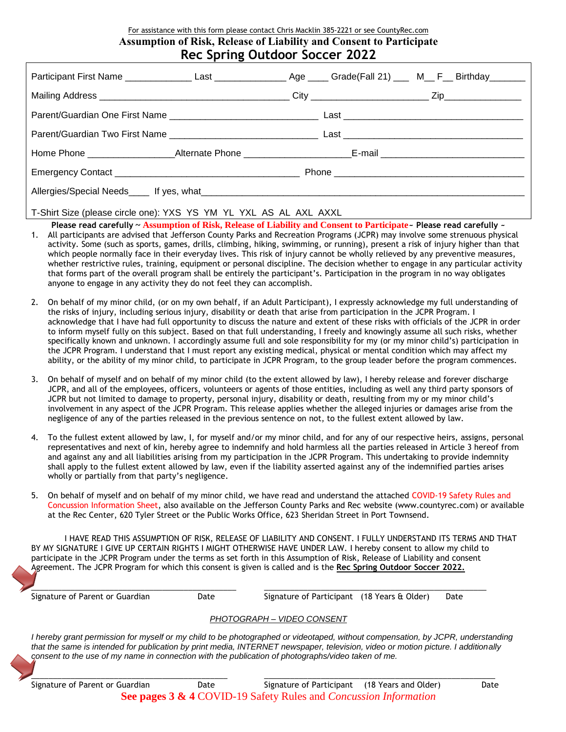#### For assistance with this form please contact Chris Macklin 385-2221 or see CountyRec.com **Assumption of Risk, Release of Liability and Consent to Participate Rec Spring Outdoor Soccer 2022**

| $\ell$ , $\ell$ , $\ell$ , $\ell$ , $\ell$ , $\ell$ , $\ell$ , $\ell$ , $\ell$ , $\ell$ , $\ell$ , $\ell$ , $\ell$ , $\ell$ , $\ell$ , $\ell$ , $\ell$ , $\ell$ , $\ell$ , $\ell$ , $\ell$ , $\ell$ , $\ell$ , $\ell$ , $\ell$ , $\ell$ , $\ell$ , $\ell$ , $\ell$ , $\ell$ , $\ell$ , $\ell$ |  |  |  |  |  |
|-----------------------------------------------------------------------------------------------------------------------------------------------------------------------------------------------------------------------------------------------------------------------------------------------|--|--|--|--|--|

T-Shirt Size (please circle one): YXS YS YM YL YXL AS AL AXL AXXL

- **Please read carefully ~ Assumption of Risk, Release of Liability and Consent to Participate~ Please read carefully ~** 1. All participants are advised that Jefferson County Parks and Recreation Programs (JCPR) may involve some strenuous physical activity. Some (such as sports, games, drills, climbing, hiking, swimming, or running), present a risk of injury higher than that which people normally face in their everyday lives. This risk of injury cannot be wholly relieved by any preventive measures, whether restrictive rules, training, equipment or personal discipline. The decision whether to engage in any particular activity that forms part of the overall program shall be entirely the participant's. Participation in the program in no way obligates anyone to engage in any activity they do not feel they can accomplish.
- 2. On behalf of my minor child, (or on my own behalf, if an Adult Participant), I expressly acknowledge my full understanding of the risks of injury, including serious injury, disability or death that arise from participation in the JCPR Program. I acknowledge that I have had full opportunity to discuss the nature and extent of these risks with officials of the JCPR in order to inform myself fully on this subject. Based on that full understanding, I freely and knowingly assume all such risks, whether specifically known and unknown. I accordingly assume full and sole responsibility for my (or my minor child's) participation in the JCPR Program. I understand that I must report any existing medical, physical or mental condition which may affect my ability, or the ability of my minor child, to participate in JCPR Program, to the group leader before the program commences.
- 3. On behalf of myself and on behalf of my minor child (to the extent allowed by law), I hereby release and forever discharge JCPR, and all of the employees, officers, volunteers or agents of those entities, including as well any third party sponsors of JCPR but not limited to damage to property, personal injury, disability or death, resulting from my or my minor child's involvement in any aspect of the JCPR Program. This release applies whether the alleged injuries or damages arise from the negligence of any of the parties released in the previous sentence on not, to the fullest extent allowed by law.
- 4. To the fullest extent allowed by law, I, for myself and/or my minor child, and for any of our respective heirs, assigns, personal representatives and next of kin, hereby agree to indemnify and hold harmless all the parties released in Article 3 hereof from and against any and all liabilities arising from my participation in the JCPR Program. This undertaking to provide indemnity shall apply to the fullest extent allowed by law, even if the liability asserted against any of the indemnified parties arises wholly or partially from that party's negligence.
- 5. On behalf of myself and on behalf of my minor child, we have read and understand the attached COVID-19 Safety Rules and Concussion Information Sheet, also available on the Jefferson County Parks and Rec website (www.countyrec.com) or available at the Rec Center, 620 Tyler Street or the Public Works Office, 623 Sheridan Street in Port Townsend.

I HAVE READ THIS ASSUMPTION OF RISK, RELEASE OF LIABILITY AND CONSENT. I FULLY UNDERSTAND ITS TERMS AND THAT BY MY SIGNATURE I GIVE UP CERTAIN RIGHTS I MIGHT OTHERWISE HAVE UNDER LAW. I hereby consent to allow my child to participate in the JCPR Program under the terms as set forth in this Assumption of Risk, Release of Liability and consent Agreement. The JCPR Program for which this consent is given is called and is the **Rec Spring Outdoor Soccer 2022.**

\_\_\_\_\_\_\_\_\_\_\_\_\_\_\_\_\_\_\_\_\_\_\_\_\_\_\_\_\_\_\_\_\_\_\_\_\_\_\_\_\_\_\_\_\_\_\_ \_\_\_\_\_\_\_\_\_\_\_\_\_\_\_\_\_\_\_\_\_\_\_\_\_\_\_\_\_\_\_\_\_\_\_\_\_\_\_\_\_\_\_\_\_\_\_\_\_\_\_

Signature of Parent or Guardian **Date** Signature of Participant (18 Years & Older) Date

#### *PHOTOGRAPH – VIDEO CONSENT*

*I hereby grant permission for myself or my child to be photographed or videotaped, without compensation, by JCPR, understanding that the same is intended for publication by print media, INTERNET newspaper, television, video or motion picture. I additionally consent to the use of my name in connection with the publication of photographs/video taken of me.*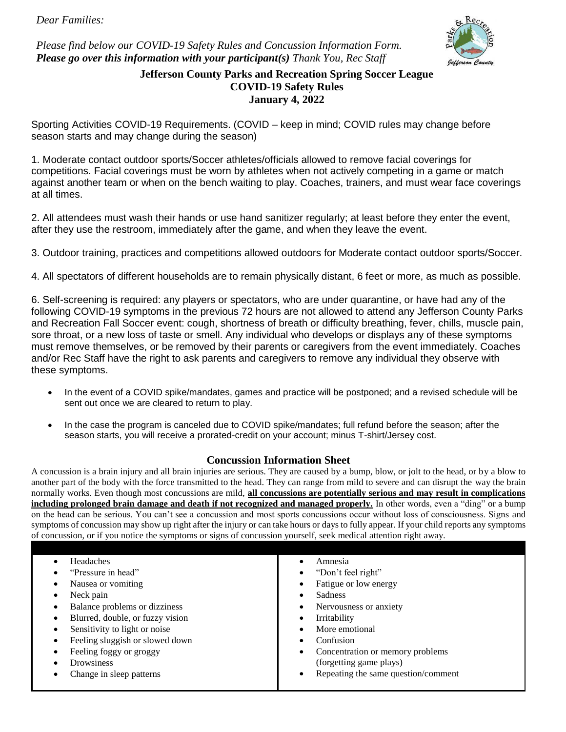*Dear Families:*

*Please find below our COVID-19 Safety Rules and Concussion Information Form. Please go over this information with your participant(s) Thank You, Rec Staff*



#### **Jefferson County Parks and Recreation Spring Soccer League COVID-19 Safety Rules January 4, 2022**

Sporting Activities COVID-19 Requirements. (COVID – keep in mind; COVID rules may change before season starts and may change during the season)

1. Moderate contact outdoor sports/Soccer athletes/officials allowed to remove facial coverings for competitions. Facial coverings must be worn by athletes when not actively competing in a game or match against another team or when on the bench waiting to play. Coaches, trainers, and must wear face coverings at all times.

2. All attendees must wash their hands or use hand sanitizer regularly; at least before they enter the event, after they use the restroom, immediately after the game, and when they leave the event.

3. Outdoor training, practices and competitions allowed outdoors for Moderate contact outdoor sports/Soccer.

4. All spectators of different households are to remain physically distant, 6 feet or more, as much as possible.

6. Self-screening is required: any players or spectators, who are under quarantine, or have had any of the following COVID-19 symptoms in the previous 72 hours are not allowed to attend any Jefferson County Parks and Recreation Fall Soccer event: cough, shortness of breath or difficulty breathing, fever, chills, muscle pain, sore throat, or a new loss of taste or smell. Any individual who develops or displays any of these symptoms must remove themselves, or be removed by their parents or caregivers from the event immediately. Coaches and/or Rec Staff have the right to ask parents and caregivers to remove any individual they observe with these symptoms.

- In the event of a COVID spike/mandates, games and practice will be postponed; and a revised schedule will be sent out once we are cleared to return to play.
- In the case the program is canceled due to COVID spike/mandates; full refund before the season; after the season starts, you will receive a prorated-credit on your account; minus T-shirt/Jersey cost.

#### **Concussion Information Sheet**

A concussion is a brain injury and all brain injuries are serious. They are caused by a bump, blow, or jolt to the head, or by a blow to another part of the body with the force transmitted to the head. They can range from mild to severe and can disrupt the way the brain normally works. Even though most concussions are mild, **all concussions are potentially serious and may result in complications**  including prolonged brain damage and death if not recognized and managed properly. In other words, even a "ding" or a bump on the head can be serious. You can't see a concussion and most sports concussions occur without loss of consciousness. Signs and symptoms of concussion may show up right after the injury or can take hours or days to fully appear. If your child reports any symptoms of concussion, or if you notice the symptoms or signs of concussion yourself, seek medical attention right away.

| Blurred, double, or fuzzy vision<br>Irritability<br>Sensitivity to light or noise<br>More emotional<br>Feeling sluggish or slowed down<br>Confusion | Headaches<br>"Pressure in head"<br>Nausea or vomiting<br>Neck pain<br>Balance problems or dizziness | Amnesia<br>"Don't feel right"<br>Fatigue or low energy<br>Sadness<br>Nervousness or anxiety |
|-----------------------------------------------------------------------------------------------------------------------------------------------------|-----------------------------------------------------------------------------------------------------|---------------------------------------------------------------------------------------------|
|                                                                                                                                                     |                                                                                                     |                                                                                             |
| Feeling foggy or groggy<br>Concentration or memory problems<br>٠                                                                                    |                                                                                                     |                                                                                             |
| (forgetting game plays)<br><b>Drowsiness</b><br>Repeating the same question/comment<br>Change in sleep patterns                                     |                                                                                                     |                                                                                             |